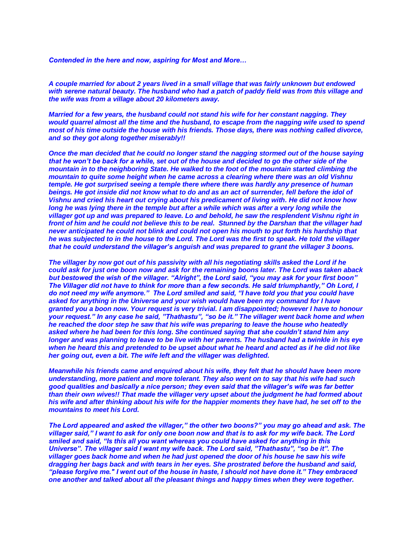*Contended in the here and now, aspiring for Most and More…*

*A couple married for about 2 years lived in a small village that was fairly unknown but endowed with serene natural beauty. The husband who had a patch of paddy field was from this village and the wife was from a village about 20 kilometers away.* 

*Married for a few years, the husband could not stand his wife for her constant nagging. They would quarrel almost all the time and the husband, to escape from the nagging wife used to spend most of his time outside the house with his friends. Those days, there was nothing called divorce, and so they got along together miserably!!*

*Once the man decided that he could no longer stand the nagging stormed out of the house saying that he won't be back for a while, set out of the house and decided to go the other side of the mountain in to the neighboring State. He walked to the foot of the mountain started climbing the mountain to quite some height when he came across a clearing where there was an old Vishnu temple. He got surprised seeing a temple there where there was hardly any presence of human beings. He got inside did not know what to do and as an act of surrender, fell before the idol of Vishnu and cried his heart out crying about his predicament of living with. He did not know how long he was lying there in the temple but after a while which was after a very long while the villager got up and was prepared to leave. Lo and behold, he saw the resplendent Vishnu right in front of him and he could not believe this to be real. Stunned by the Darshan that the villager had never anticipated he could not blink and could not open his mouth to put forth his hardship that he was subjected to in the house to the Lord. The Lord was the first to speak. He told the villager that he could understand the villager's anguish and was prepared to grant the villager 3 boons.*

*The villager by now got out of his passivity with all his negotiating skills asked the Lord if he could ask for just one boon now and ask for the remaining boons later. The Lord was taken aback but bestowed the wish of the villager. "Alright", the Lord said, "you may ask for your first boon" The Villager did not have to think for more than a few seconds. He said triumphantly," Oh Lord, I do not need my wife anymore." The Lord smiled and said, "I have told you that you could have asked for anything in the Universe and your wish would have been my command for I have granted you a boon now. Your request is very trivial. I am disappointed; however I have to honour your request." In any case he said, "Thathastu", "so be it." The villager went back home and when he reached the door step he saw that his wife was preparing to leave the house who heatedly asked where he had been for this long. She continued saying that she couldn't stand him any longer and was planning to leave to be live with her parents. The husband had a twinkle in his eye when he heard this and pretended to be upset about what he heard and acted as if he did not like her going out, even a bit. The wife left and the villager was delighted.* 

*Meanwhile his friends came and enquired about his wife, they felt that he should have been more understanding, more patient and more tolerant. They also went on to say that his wife had such good qualities and basically a nice person; they even said that the villager's wife was far better than their own wives!! That made the villager very upset about the judgment he had formed about his wife and after thinking about his wife for the happier moments they have had, he set off to the mountains to meet his Lord.*

*The Lord appeared and asked the villager," the other two boons?" you may go ahead and ask. The villager said," I want to ask for only one boon now and that is to ask for my wife back. The Lord smiled and said, "Is this all you want whereas you could have asked for anything in this Universe". The villager said I want my wife back. The Lord said, "Thathastu", "so be it". The villager goes back home and when he had just opened the door of his house he saw his wife dragging her bags back and with tears in her eyes. She prostrated before the husband and said, "please forgive me." I went out of the house in haste, I should not have done it." They embraced one another and talked about all the pleasant things and happy times when they were together.*